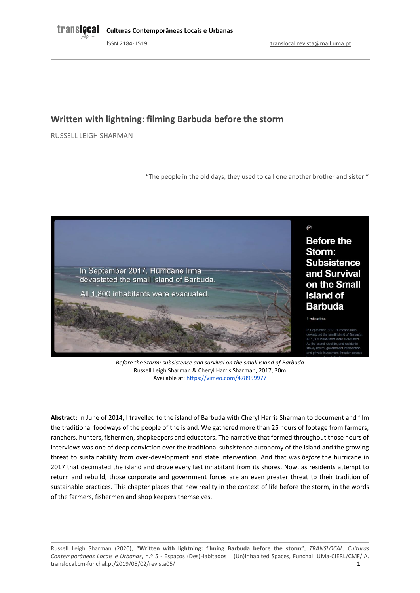# **Written with lightning: filming Barbuda before the storm**

RUSSELL LEIGH SHARMAN

"The people in the old days, they used to call one another brother and sister."



*Before the Storm: subsistence and survival on the small island of Barbuda* Russell Leigh Sharman & Cheryl Harris Sharman, 2017, 30m Available at[: https://vimeo.com/478959977](https://vimeo.com/478959977)

**Abstract:** In June of 2014, I travelled to the island of Barbuda with Cheryl Harris Sharman to document and film the traditional foodways of the people of the island. We gathered more than 25 hours of footage from farmers, ranchers, hunters, fishermen, shopkeepers and educators. The narrative that formed throughout those hours of interviews was one of deep conviction over the traditional subsistence autonomy of the island and the growing threat to sustainability from over-development and state intervention. And that was *before* the hurricane in 2017 that decimated the island and drove every last inhabitant from its shores. Now, as residents attempt to return and rebuild, those corporate and government forces are an even greater threat to their tradition of sustainable practices. This chapter places that new reality in the context of life before the storm, in the words of the farmers, fishermen and shop keepers themselves.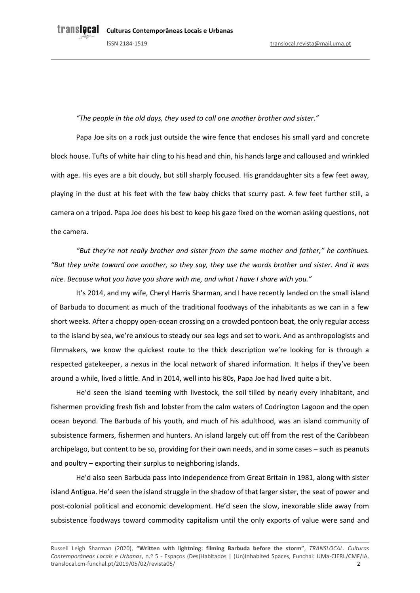## *"The people in the old days, they used to call one another brother and sister."*

Papa Joe sits on a rock just outside the wire fence that encloses his small yard and concrete block house. Tufts of white hair cling to his head and chin, his hands large and calloused and wrinkled with age. His eyes are a bit cloudy, but still sharply focused. His granddaughter sits a few feet away, playing in the dust at his feet with the few baby chicks that scurry past. A few feet further still, a camera on a tripod. Papa Joe does his best to keep his gaze fixed on the woman asking questions, not the camera.

*"But they're not really brother and sister from the same mother and father," he continues. "But they unite toward one another, so they say, they use the words brother and sister. And it was nice. Because what you have you share with me, and what I have I share with you."*

It's 2014, and my wife, Cheryl Harris Sharman, and I have recently landed on the small island of Barbuda to document as much of the traditional foodways of the inhabitants as we can in a few short weeks. After a choppy open-ocean crossing on a crowded pontoon boat, the only regular access to the island by sea, we're anxious to steady our sea legs and set to work. And as anthropologists and filmmakers, we know the quickest route to the thick description we're looking for is through a respected gatekeeper, a nexus in the local network of shared information. It helps if they've been around a while, lived a little. And in 2014, well into his 80s, Papa Joe had lived quite a bit.

He'd seen the island teeming with livestock, the soil tilled by nearly every inhabitant, and fishermen providing fresh fish and lobster from the calm waters of Codrington Lagoon and the open ocean beyond. The Barbuda of his youth, and much of his adulthood, was an island community of subsistence farmers, fishermen and hunters. An island largely cut off from the rest of the Caribbean archipelago, but content to be so, providing for their own needs, and in some cases – such as peanuts and poultry – exporting their surplus to neighboring islands.

He'd also seen Barbuda pass into independence from Great Britain in 1981, along with sister island Antigua. He'd seen the island struggle in the shadow of that larger sister, the seat of power and post-colonial political and economic development. He'd seen the slow, inexorable slide away from subsistence foodways toward commodity capitalism until the only exports of value were sand and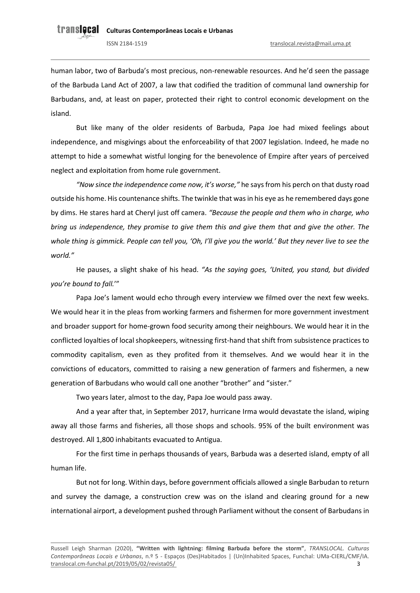human labor, two of Barbuda's most precious, non-renewable resources. And he'd seen the passage of the Barbuda Land Act of 2007, a law that codified the tradition of communal land ownership for Barbudans, and, at least on paper, protected their right to control economic development on the island.

But like many of the older residents of Barbuda, Papa Joe had mixed feelings about independence, and misgivings about the enforceability of that 2007 legislation. Indeed, he made no attempt to hide a somewhat wistful longing for the benevolence of Empire after years of perceived neglect and exploitation from home rule government.

*"Now since the independence come now, it's worse,"* he says from his perch on that dusty road outside his home. His countenance shifts. The twinkle that was in his eye as he remembered days gone by dims. He stares hard at Cheryl just off camera. *"Because the people and them who in charge, who bring us independence, they promise to give them this and give them that and give the other. The whole thing is gimmick. People can tell you, 'Oh, I'll give you the world.' But they never live to see the world."*

He pauses, a slight shake of his head. *"As the saying goes, 'United, you stand, but divided you're bound to fall.*'"

Papa Joe's lament would echo through every interview we filmed over the next few weeks. We would hear it in the pleas from working farmers and fishermen for more government investment and broader support for home-grown food security among their neighbours. We would hear it in the conflicted loyalties of local shopkeepers, witnessing first-hand that shift from subsistence practices to commodity capitalism, even as they profited from it themselves. And we would hear it in the convictions of educators, committed to raising a new generation of farmers and fishermen, a new generation of Barbudans who would call one another "brother" and "sister."

Two years later, almost to the day, Papa Joe would pass away.

And a year after that, in September 2017, hurricane Irma would devastate the island, wiping away all those farms and fisheries, all those shops and schools. 95% of the built environment was destroyed. All 1,800 inhabitants evacuated to Antigua.

For the first time in perhaps thousands of years, Barbuda was a deserted island, empty of all human life.

But not for long. Within days, before government officials allowed a single Barbudan to return and survey the damage, a construction crew was on the island and clearing ground for a new international airport, a development pushed through Parliament without the consent of Barbudans in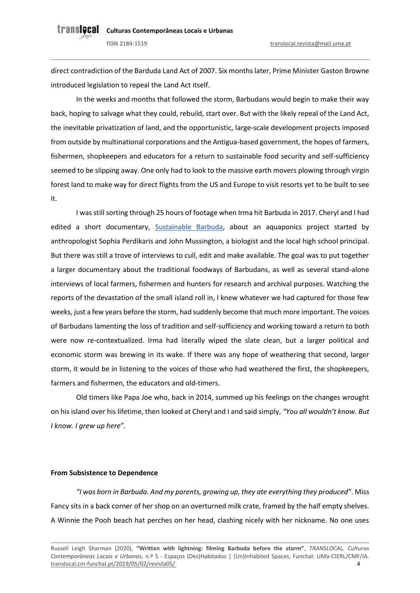direct contradiction of the Barduda Land Act of 2007. Six months later, Prime Minister Gaston Browne introduced legislation to repeal the Land Act itself.

In the weeks and months that followed the storm, Barbudans would begin to make their way back, hoping to salvage what they could, rebuild, start over. But with the likely repeal of the Land Act, the inevitable privatization of land, and the opportunistic, large-scale development projects imposed from outside by multinational corporations and the Antigua-based government, the hopes of farmers, fishermen, shopkeepers and educators for a return to sustainable food security and self-sufficiency seemed to be slipping away. One only had to look to the massive earth movers plowing through virgin forest land to make way for direct flights from the US and Europe to visit resorts yet to be built to see it.

I was still sorting through 25 hours of footage when Irma hit Barbuda in 2017. Cheryl and I had edited a short documentary, **Sustainable Barbuda**, about an aquaponics project started by anthropologist Sophia Perdikaris and John Mussington, a biologist and the local high school principal. But there was still a trove of interviews to cull, edit and make available. The goal was to put together a larger documentary about the traditional foodways of Barbudans, as well as several stand-alone interviews of local farmers, fishermen and hunters for research and archival purposes. Watching the reports of the devastation of the small island roll in, I knew whatever we had captured for those few weeks, just a few years before the storm, had suddenly become that much more important. The voices of Barbudans lamenting the loss of tradition and self-sufficiency and working toward a return to both were now re-contextualized. Irma had literally wiped the slate clean, but a larger political and economic storm was brewing in its wake. If there was any hope of weathering that second, larger storm, it would be in listening to the voices of those who had weathered the first, the shopkeepers, farmers and fishermen, the educators and old-timers.

Old timers like Papa Joe who, back in 2014, summed up his feelings on the changes wrought on his island over his lifetime, then looked at Cheryl and I and said simply, *"You all wouldn't know. But I know. I grew up here".*

# **From Subsistence to Dependence**

*"I was born in Barbuda. And my parents, growing up, they ate everything they produced"*. Miss Fancy sits in a back corner of her shop on an overturned milk crate, framed by the half empty shelves. A Winnie the Pooh beach hat perches on her head, clashing nicely with her nickname. No one uses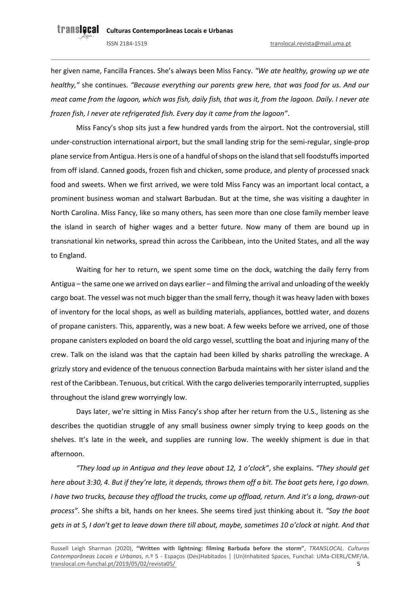her given name, Fancilla Frances. She's always been Miss Fancy. *"We ate healthy, growing up we ate healthy,"* she continues. *"Because everything our parents grew here, that was food for us. And our meat came from the lagoon, which was fish, daily fish, that was it, from the lagoon. Daily. I never ate frozen fish, I never ate refrigerated fish. Every day it came from the lagoon"*.

Miss Fancy's shop sits just a few hundred yards from the airport. Not the controversial, still under-construction international airport, but the small landing strip for the semi-regular, single-prop plane service from Antigua. Hers is one of a handful of shops on the island that sell foodstuffs imported from off island. Canned goods, frozen fish and chicken, some produce, and plenty of processed snack food and sweets. When we first arrived, we were told Miss Fancy was an important local contact, a prominent business woman and stalwart Barbudan. But at the time, she was visiting a daughter in North Carolina. Miss Fancy, like so many others, has seen more than one close family member leave the island in search of higher wages and a better future. Now many of them are bound up in transnational kin networks, spread thin across the Caribbean, into the United States, and all the way to England.

Waiting for her to return, we spent some time on the dock, watching the daily ferry from Antigua – the same one we arrived on days earlier – and filming the arrival and unloading of the weekly cargo boat. The vessel was not much bigger than the small ferry, though it was heavy laden with boxes of inventory for the local shops, as well as building materials, appliances, bottled water, and dozens of propane canisters. This, apparently, was a new boat. A few weeks before we arrived, one of those propane canisters exploded on board the old cargo vessel, scuttling the boat and injuring many of the crew. Talk on the island was that the captain had been killed by sharks patrolling the wreckage. A grizzly story and evidence of the tenuous connection Barbuda maintains with her sister island and the rest of the Caribbean. Tenuous, but critical. With the cargo deliveries temporarily interrupted, supplies throughout the island grew worryingly low.

Days later, we're sitting in Miss Fancy's shop after her return from the U.S., listening as she describes the quotidian struggle of any small business owner simply trying to keep goods on the shelves. It's late in the week, and supplies are running low. The weekly shipment is due in that afternoon.

*"They load up in Antigua and they leave about 12, 1 o'clock"*, she explains. *"They should get here about 3:30, 4. But if they're late, it depends, throws them off a bit. The boat gets here, I go down. I have two trucks, because they offload the trucks, come up offload, return. And it's a long, drawn-out process"*. She shifts a bit, hands on her knees. She seems tired just thinking about it. *"Say the boat gets in at 5, I don't get to leave down there till about, maybe, sometimes 10 o'clock at night. And that*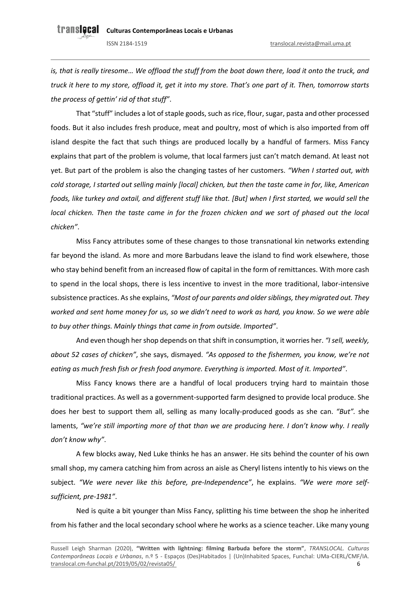is, that is really tiresome... We offload the stuff from the boat down there, load it onto the truck, and *truck it here to my store, offload it, get it into my store. That's one part of it. Then, tomorrow starts the process of gettin' rid of that stuff"*.

That "stuff" includes a lot of staple goods, such as rice, flour, sugar, pasta and other processed foods. But it also includes fresh produce, meat and poultry, most of which is also imported from off island despite the fact that such things are produced locally by a handful of farmers. Miss Fancy explains that part of the problem is volume, that local farmers just can't match demand. At least not yet. But part of the problem is also the changing tastes of her customers. *"When I started out, with cold storage, I started out selling mainly [local] chicken, but then the taste came in for, like, American foods, like turkey and oxtail, and different stuff like that. [But] when I first started, we would sell the local chicken. Then the taste came in for the frozen chicken and we sort of phased out the local chicken"*.

Miss Fancy attributes some of these changes to those transnational kin networks extending far beyond the island. As more and more Barbudans leave the island to find work elsewhere, those who stay behind benefit from an increased flow of capital in the form of remittances. With more cash to spend in the local shops, there is less incentive to invest in the more traditional, labor-intensive subsistence practices. As she explains, *"Most of our parents and older siblings, they migrated out. They worked and sent home money for us, so we didn't need to work as hard, you know. So we were able to buy other things. Mainly things that came in from outside. Imported"*.

And even though her shop depends on that shift in consumption, it worries her. *"I sell, weekly, about 52 cases of chicken"*, she says, dismayed. *"As opposed to the fishermen, you know, we're not eating as much fresh fish or fresh food anymore. Everything is imported. Most of it. Imported"*.

Miss Fancy knows there are a handful of local producers trying hard to maintain those traditional practices. As well as a government-supported farm designed to provide local produce. She does her best to support them all, selling as many locally-produced goods as she can. *"But".* she laments, *"we're still importing more of that than we are producing here. I don't know why. I really don't know why"*.

A few blocks away, Ned Luke thinks he has an answer. He sits behind the counter of his own small shop, my camera catching him from across an aisle as Cheryl listens intently to his views on the subject. *"We were never like this before, pre-Independence"*, he explains. *"We were more selfsufficient, pre-1981"*.

Ned is quite a bit younger than Miss Fancy, splitting his time between the shop he inherited from his father and the local secondary school where he works as a science teacher. Like many young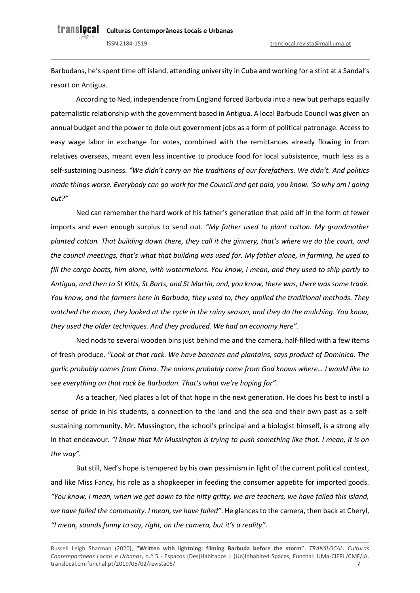Barbudans, he's spent time off island, attending university in Cuba and working for a stint at a Sandal's resort on Antigua.

According to Ned, independence from England forced Barbuda into a new but perhaps equally paternalistic relationship with the government based in Antigua. A local Barbuda Council was given an annual budget and the power to dole out government jobs as a form of political patronage. Access to easy wage labor in exchange for votes, combined with the remittances already flowing in from relatives overseas, meant even less incentive to produce food for local subsistence, much less as a self-sustaining business. *"We didn't carry on the traditions of our forefathers. We didn't. And politics made things worse. Everybody can go work for the Council and get paid, you know. 'So why am I going out?"*

Ned can remember the hard work of his father's generation that paid off in the form of fewer imports and even enough surplus to send out. *"My father used to plant cotton. My grandmother planted cotton. That building down there, they call it the ginnery, that's where we do the court, and the council meetings, that's what that building was used for. My father alone, in farming, he used to fill the cargo boats, him alone, with watermelons. You know, I mean, and they used to ship partly to Antigua, and then to St Kitts, St Barts, and St Martin, and, you know, there was, there was some trade. You know, and the farmers here in Barbuda, they used to, they applied the traditional methods. They watched the moon, they looked at the cycle in the rainy season, and they do the mulching. You know, they used the older techniques. And they produced. We had an economy here"*.

Ned nods to several wooden bins just behind me and the camera, half-filled with a few items of fresh produce. *"Look at that rack. We have bananas and plantains, says product of Dominica. The garlic probably comes from China. The onions probably come from God knows where… I would like to see everything on that rack be Barbudan. That's what we're hoping for"*.

As a teacher, Ned places a lot of that hope in the next generation. He does his best to instil a sense of pride in his students, a connection to the land and the sea and their own past as a selfsustaining community. Mr. Mussington, the school's principal and a biologist himself, is a strong ally in that endeavour. *"I know that Mr Mussington is trying to push something like that. I mean, it is on the way".* 

But still, Ned's hope is tempered by his own pessimism in light of the current political context, and like Miss Fancy, his role as a shopkeeper in feeding the consumer appetite for imported goods. *"You know, I mean, when we get down to the nitty gritty, we are teachers, we have failed this island, we have failed the community. I mean, we have failed"*. He glances to the camera, then back at Cheryl, *"I mean, sounds funny to say, right, on the camera, but it's a reality"*.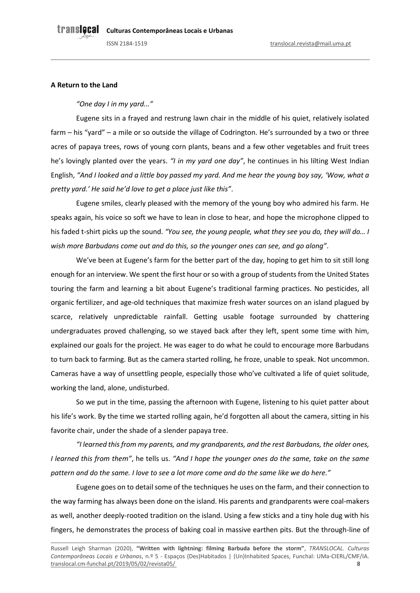## **A Return to the Land**

*"One day I in my yard..."* 

Eugene sits in a frayed and restrung lawn chair in the middle of his quiet, relatively isolated farm – his "yard" – a mile or so outside the village of Codrington. He's surrounded by a two or three acres of papaya trees, rows of young corn plants, beans and a few other vegetables and fruit trees he's lovingly planted over the years. *"I in my yard one day"*, he continues in his lilting West Indian English, *"And I looked and a little boy passed my yard. And me hear the young boy say, 'Wow, what a pretty yard.' He said he'd love to get a place just like this"*.

Eugene smiles, clearly pleased with the memory of the young boy who admired his farm. He speaks again, his voice so soft we have to lean in close to hear, and hope the microphone clipped to his faded t-shirt picks up the sound. *"You see, the young people, what they see you do, they will do… I wish more Barbudans come out and do this, so the younger ones can see, and go along"*.

We've been at Eugene's farm for the better part of the day, hoping to get him to sit still long enough for an interview. We spent the first hour or so with a group of students from the United States touring the farm and learning a bit about Eugene's traditional farming practices. No pesticides, all organic fertilizer, and age-old techniques that maximize fresh water sources on an island plagued by scarce, relatively unpredictable rainfall. Getting usable footage surrounded by chattering undergraduates proved challenging, so we stayed back after they left, spent some time with him, explained our goals for the project. He was eager to do what he could to encourage more Barbudans to turn back to farming. But as the camera started rolling, he froze, unable to speak. Not uncommon. Cameras have a way of unsettling people, especially those who've cultivated a life of quiet solitude, working the land, alone, undisturbed.

So we put in the time, passing the afternoon with Eugene, listening to his quiet patter about his life's work. By the time we started rolling again, he'd forgotten all about the camera, sitting in his favorite chair, under the shade of a slender papaya tree.

*"I learned this from my parents, and my grandparents, and the rest Barbudans, the older ones, I learned this from them"*, he tells us. *"And I hope the younger ones do the same, take on the same pattern and do the same. I love to see a lot more come and do the same like we do here."*

Eugene goes on to detail some of the techniques he uses on the farm, and their connection to the way farming has always been done on the island. His parents and grandparents were coal-makers as well, another deeply-rooted tradition on the island. Using a few sticks and a tiny hole dug with his fingers, he demonstrates the process of baking coal in massive earthen pits. But the through-line of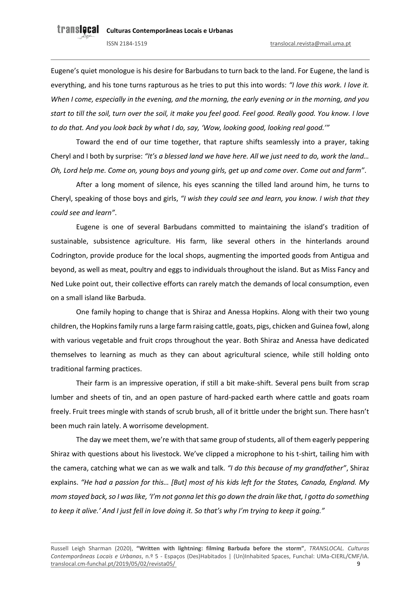Eugene's quiet monologue is his desire for Barbudans to turn back to the land. For Eugene, the land is everything, and his tone turns rapturous as he tries to put this into words: *"I love this work. I love it. When I come, especially in the evening, and the morning, the early evening or in the morning, and you start to till the soil, turn over the soil, it make you feel good. Feel good. Really good. You know. I love to do that. And you look back by what I do, say, 'Wow, looking good, looking real good.'"*

Toward the end of our time together, that rapture shifts seamlessly into a prayer, taking Cheryl and I both by surprise: *"It's a blessed land we have here. All we just need to do, work the land… Oh, Lord help me. Come on, young boys and young girls, get up and come over. Come out and farm"*.

After a long moment of silence, his eyes scanning the tilled land around him, he turns to Cheryl, speaking of those boys and girls, *"I wish they could see and learn, you know. I wish that they could see and learn"*.

Eugene is one of several Barbudans committed to maintaining the island's tradition of sustainable, subsistence agriculture. His farm, like several others in the hinterlands around Codrington, provide produce for the local shops, augmenting the imported goods from Antigua and beyond, as well as meat, poultry and eggs to individuals throughout the island. But as Miss Fancy and Ned Luke point out, their collective efforts can rarely match the demands of local consumption, even on a small island like Barbuda.

One family hoping to change that is Shiraz and Anessa Hopkins. Along with their two young children, the Hopkins family runs a large farm raising cattle, goats, pigs, chicken and Guinea fowl, along with various vegetable and fruit crops throughout the year. Both Shiraz and Anessa have dedicated themselves to learning as much as they can about agricultural science, while still holding onto traditional farming practices.

Their farm is an impressive operation, if still a bit make-shift. Several pens built from scrap lumber and sheets of tin, and an open pasture of hard-packed earth where cattle and goats roam freely. Fruit trees mingle with stands of scrub brush, all of it brittle under the bright sun. There hasn't been much rain lately. A worrisome development.

The day we meet them, we're with that same group of students, all of them eagerly peppering Shiraz with questions about his livestock. We've clipped a microphone to his t-shirt, tailing him with the camera, catching what we can as we walk and talk. *"I do this because of my grandfather"*, Shiraz explains. *"He had a passion for this… [But] most of his kids left for the States, Canada, England. My mom stayed back, so I was like, 'I'm not gonna let this go down the drain like that, I gotta do something to keep it alive.' And I just fell in love doing it. So that's why I'm trying to keep it going."*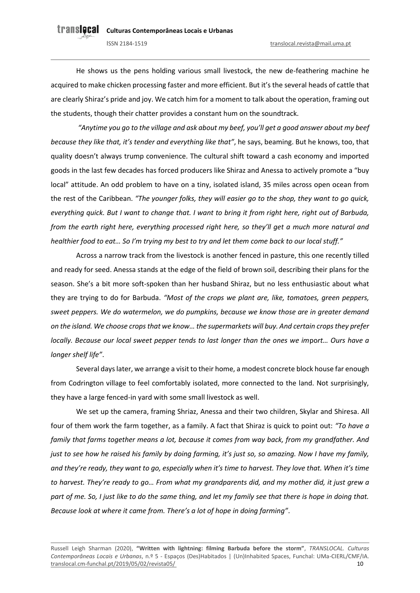He shows us the pens holding various small livestock, the new de-feathering machine he acquired to make chicken processing faster and more efficient. But it's the several heads of cattle that are clearly Shiraz's pride and joy. We catch him for a moment to talk about the operation, framing out the students, though their chatter provides a constant hum on the soundtrack.

*"Anytime you go to the village and ask about my beef, you'll get a good answer about my beef because they like that, it's tender and everything like that"*, he says, beaming. But he knows, too, that quality doesn't always trump convenience. The cultural shift toward a cash economy and imported goods in the last few decades has forced producers like Shiraz and Anessa to actively promote a "buy local" attitude. An odd problem to have on a tiny, isolated island, 35 miles across open ocean from the rest of the Caribbean. *"The younger folks, they will easier go to the shop, they want to go quick, everything quick. But I want to change that. I want to bring it from right here, right out of Barbuda, from the earth right here, everything processed right here, so they'll get a much more natural and healthier food to eat… So I'm trying my best to try and let them come back to our local stuff."*

Across a narrow track from the livestock is another fenced in pasture, this one recently tilled and ready for seed. Anessa stands at the edge of the field of brown soil, describing their plans for the season. She's a bit more soft-spoken than her husband Shiraz, but no less enthusiastic about what they are trying to do for Barbuda. *"Most of the crops we plant are, like, tomatoes, green peppers, sweet peppers. We do watermelon, we do pumpkins, because we know those are in greater demand on the island. We choose crops that we know… the supermarkets will buy. And certain crops they prefer locally. Because our local sweet pepper tends to last longer than the ones we im*po*rt… Ours have a longer shelf life"*.

Several days later, we arrange a visit to their home, a modest concrete block house far enough from Codrington village to feel comfortably isolated, more connected to the land. Not surprisingly, they have a large fenced-in yard with some small livestock as well.

We set up the camera, framing Shriaz, Anessa and their two children, Skylar and Shiresa. All four of them work the farm together, as a family. A fact that Shiraz is quick to point out: *"To have a family that farms together means a lot, because it comes from way back, from my grandfather. And just to see how he raised his family by doing farming, it's just so, so amazing. Now I have my family, and they're ready, they want to go, especially when it's time to harvest. They love that. When it's time to harvest. They're ready to go… From what my grandparents did, and my mother did, it just grew a part of me. So, I just like to do the same thing, and let my family see that there is hope in doing that. Because look at where it came from. There's a lot of hope in doing farming"*.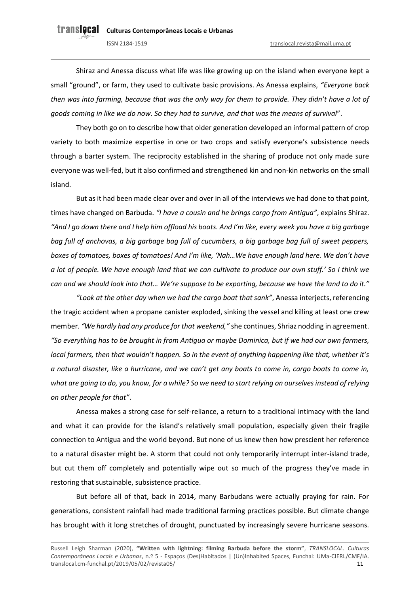Shiraz and Anessa discuss what life was like growing up on the island when everyone kept a small "ground", or farm, they used to cultivate basic provisions. As Anessa explains, *"Everyone back then was into farming, because that was the only way for them to provide. They didn't have a lot of goods coming in like we do now. So they had to survive, and that was the means of survival*".

They both go on to describe how that older generation developed an informal pattern of crop variety to both maximize expertise in one or two crops and satisfy everyone's subsistence needs through a barter system. The reciprocity established in the sharing of produce not only made sure everyone was well-fed, but it also confirmed and strengthened kin and non-kin networks on the small island.

But as it had been made clear over and over in all of the interviews we had done to that point, times have changed on Barbuda. *"I have a cousin and he brings cargo from Antigua"*, explains Shiraz. *"And I go down there and I help him offload his boats. And I'm like, every week you have a big garbage bag full of anchovas, a big garbage bag full of cucumbers, a big garbage bag full of sweet peppers, boxes of tomatoes, boxes of tomatoes! And I'm like, 'Nah…We have enough land here. We don't have a lot of people. We have enough land that we can cultivate to produce our own stuff.' So I think we can and we should look into that… We're suppose to be exporting, because we have the land to do it."*

*"Look at the other day when we had the cargo boat that sank"*, Anessa interjects, referencing the tragic accident when a propane canister exploded, sinking the vessel and killing at least one crew member. *"We hardly had any produce for that weekend,"* she continues, Shriaz nodding in agreement. *"So everything has to be brought in from Antigua or maybe Dominica, but if we had our own farmers, local farmers, then that wouldn't happen. So in the event of anything happening like that, whether it's a natural disaster, like a hurricane, and we can't get any boats to come in, cargo boats to come in, what are going to do, you know, for a while? So we need to start relying on ourselves instead of relying on other people for that"*.

Anessa makes a strong case for self-reliance, a return to a traditional intimacy with the land and what it can provide for the island's relatively small population, especially given their fragile connection to Antigua and the world beyond. But none of us knew then how prescient her reference to a natural disaster might be. A storm that could not only temporarily interrupt inter-island trade, but cut them off completely and potentially wipe out so much of the progress they've made in restoring that sustainable, subsistence practice.

But before all of that, back in 2014, many Barbudans were actually praying for rain. For generations, consistent rainfall had made traditional farming practices possible. But climate change has brought with it long stretches of drought, punctuated by increasingly severe hurricane seasons.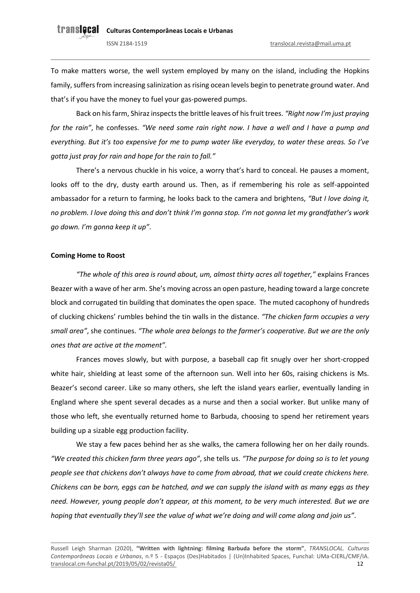To make matters worse, the well system employed by many on the island, including the Hopkins family, suffers from increasing salinization as rising ocean levels begin to penetrate ground water. And that's if you have the money to fuel your gas-powered pumps.

Back on his farm, Shiraz inspects the brittle leaves of his fruit trees. *"Right now I'm just praying for the rain"*, he confesses. *"We need some rain right now. I have a well and I have a pump and everything. But it's too expensive for me to pump water like everyday, to water these areas. So I've gotta just pray for rain and hope for the rain to fall."* 

There's a nervous chuckle in his voice, a worry that's hard to conceal. He pauses a moment, looks off to the dry, dusty earth around us. Then, as if remembering his role as self-appointed ambassador for a return to farming, he looks back to the camera and brightens, *"But I love doing it, no problem. I love doing this and don't think I'm gonna stop. I'm not gonna let my grandfather's work go down. I'm gonna keep it up"*.

### **Coming Home to Roost**

*"The whole of this area is round about, um, almost thirty acres all together,"* explains Frances Beazer with a wave of her arm. She's moving across an open pasture, heading toward a large concrete block and corrugated tin building that dominates the open space. The muted cacophony of hundreds of clucking chickens' rumbles behind the tin walls in the distance. *"The chicken farm occupies a very small area"*, she continues. *"The whole area belongs to the farmer's cooperative. But we are the only ones that are active at the moment".*

Frances moves slowly, but with purpose, a baseball cap fit snugly over her short-cropped white hair, shielding at least some of the afternoon sun. Well into her 60s, raising chickens is Ms. Beazer's second career. Like so many others, she left the island years earlier, eventually landing in England where she spent several decades as a nurse and then a social worker. But unlike many of those who left, she eventually returned home to Barbuda, choosing to spend her retirement years building up a sizable egg production facility.

We stay a few paces behind her as she walks, the camera following her on her daily rounds. *"We created this chicken farm three years ago"*, she tells us. *"The purpose for doing so is to let young people see that chickens don't always have to come from abroad, that we could create chickens here. Chickens can be born, eggs can be hatched, and we can supply the island with as many eggs as they need. However, young people don't appear, at this moment, to be very much interested. But we are hoping that eventually they'll see the value of what we're doing and will come along and join us"*.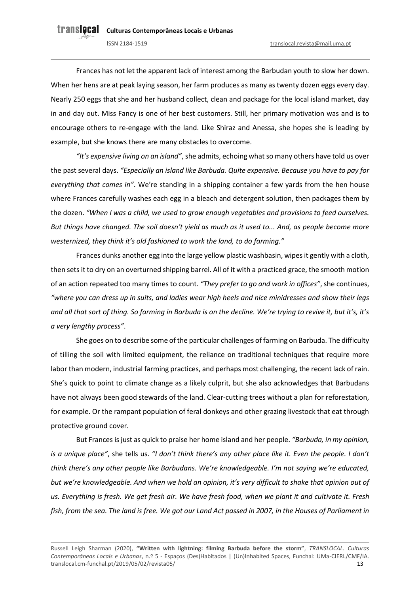Frances has not let the apparent lack of interest among the Barbudan youth to slow her down. When her hens are at peak laying season, her farm produces as many as twenty dozen eggs every day. Nearly 250 eggs that she and her husband collect, clean and package for the local island market, day in and day out. Miss Fancy is one of her best customers. Still, her primary motivation was and is to encourage others to re-engage with the land. Like Shiraz and Anessa, she hopes she is leading by example, but she knows there are many obstacles to overcome.

*"It's expensive living on an island"*, she admits, echoing what so many others have told us over the past several days. *"Especially an island like Barbuda. Quite expensive. Because you have to pay for everything that comes in"*. We're standing in a shipping container a few yards from the hen house where Frances carefully washes each egg in a bleach and detergent solution, then packages them by the dozen. *"When I was a child, we used to grow enough vegetables and provisions to feed ourselves. But things have changed. The soil doesn't yield as much as it used to... And, as people become more westernized, they think it's old fashioned to work the land, to do farming."* 

Frances dunks another egg into the large yellow plastic washbasin, wipes it gently with a cloth, then sets it to dry on an overturned shipping barrel. All of it with a practiced grace, the smooth motion of an action repeated too many times to count. *"They prefer to go and work in offices"*, she continues, *"where you can dress up in suits, and ladies wear high heels and nice minidresses and show their legs and all that sort of thing. So farming in Barbuda is on the decline. We're trying to revive it, but it's, it's a very lengthy process"*.

She goes on to describe some of the particular challenges of farming on Barbuda. The difficulty of tilling the soil with limited equipment, the reliance on traditional techniques that require more labor than modern, industrial farming practices, and perhaps most challenging, the recent lack of rain. She's quick to point to climate change as a likely culprit, but she also acknowledges that Barbudans have not always been good stewards of the land. Clear-cutting trees without a plan for reforestation, for example. Or the rampant population of feral donkeys and other grazing livestock that eat through protective ground cover.

But Frances is just as quick to praise her home island and her people. *"Barbuda, in my opinion, is a unique place"*, she tells us. *"I don't think there's any other place like it. Even the people. I don't think there's any other people like Barbudans. We're knowledgeable. I'm not saying we're educated, but we're knowledgeable. And when we hold an opinion, it's very difficult to shake that opinion out of us. Everything is fresh. We get fresh air. We have fresh food, when we plant it and cultivate it. Fresh fish, from the sea. The land is free. We got our Land Act passed in 2007, in the Houses of Parliament in*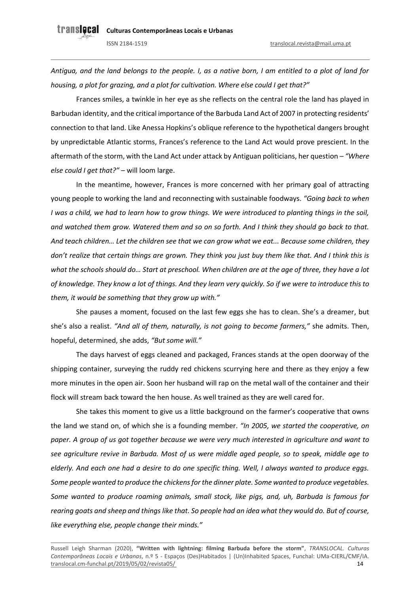*Antigua, and the land belongs to the people. I, as a native born, I am entitled to a plot of land for housing, a plot for grazing, and a plot for cultivation. Where else could I get that?"*

Frances smiles, a twinkle in her eye as she reflects on the central role the land has played in Barbudan identity, and the critical importance of the Barbuda Land Act of 2007 in protecting residents' connection to that land. Like Anessa Hopkins's oblique reference to the hypothetical dangers brought by unpredictable Atlantic storms, Frances's reference to the Land Act would prove prescient. In the aftermath of the storm, with the Land Act under attack by Antiguan politicians, her question – *"Where else could I get that?"* – will loom large.

In the meantime, however, Frances is more concerned with her primary goal of attracting young people to working the land and reconnecting with sustainable foodways. *"Going back to when I was a child, we had to learn how to grow things. We were introduced to planting things in the soil, and watched them grow. Watered them and so on so forth. And I think they should go back to that. And teach children… Let the children see that we can grow what we eat... Because some children, they don't realize that certain things are grown. They think you just buy them like that. And I think this is what the schools should do… Start at preschool. When children are at the age of three, they have a lot of knowledge. They know a lot of things. And they learn very quickly. So if we were to introduce this to them, it would be something that they grow up with."* 

She pauses a moment, focused on the last few eggs she has to clean. She's a dreamer, but she's also a realist. *"And all of them, naturally, is not going to become farmers,"* she admits. Then, hopeful, determined, she adds, *"But some will."*

The days harvest of eggs cleaned and packaged, Frances stands at the open doorway of the shipping container, surveying the ruddy red chickens scurrying here and there as they enjoy a few more minutes in the open air. Soon her husband will rap on the metal wall of the container and their flock will stream back toward the hen house. As well trained as they are well cared for.

She takes this moment to give us a little background on the farmer's cooperative that owns the land we stand on, of which she is a founding member. *"In 2005, we started the cooperative, on paper. A group of us got together because we were very much interested in agriculture and want to see agriculture revive in Barbuda. Most of us were middle aged people, so to speak, middle age to elderly. And each one had a desire to do one specific thing. Well, I always wanted to produce eggs. Some people wanted to produce the chickens for the dinner plate. Some wanted to produce vegetables. Some wanted to produce roaming animals, small stock, like pigs, and, uh, Barbuda is famous for rearing goats and sheep and things like that. So people had an idea what they would do. But of course, like everything else, people change their minds."*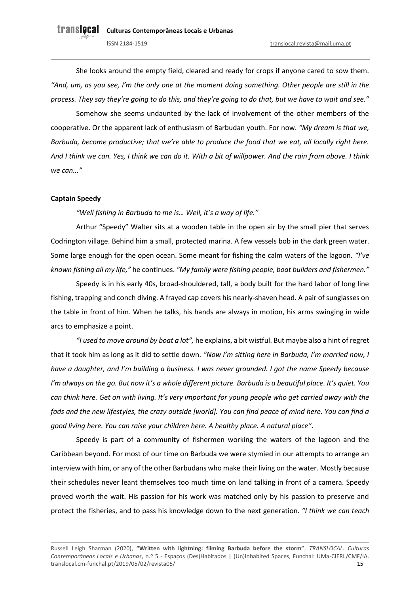She looks around the empty field, cleared and ready for crops if anyone cared to sow them. *"And, um, as you see, I'm the only one at the moment doing something. Other people are still in the process. They say they're going to do this, and they're going to do that, but we have to wait and see."*

Somehow she seems undaunted by the lack of involvement of the other members of the cooperative. Or the apparent lack of enthusiasm of Barbudan youth. For now. *"My dream is that we, Barbuda, become productive; that we're able to produce the food that we eat, all locally right here. And I think we can. Yes, I think we can do it. With a bit of willpower. And the rain from above. I think we can..."*

### **Captain Speedy**

### *"Well fishing in Barbuda to me is… Well, it's a way of life."*

Arthur "Speedy" Walter sits at a wooden table in the open air by the small pier that serves Codrington village. Behind him a small, protected marina. A few vessels bob in the dark green water. Some large enough for the open ocean. Some meant for fishing the calm waters of the lagoon. *"I've known fishing all my life,"* he continues. *"My family were fishing people, boat builders and fishermen."*

Speedy is in his early 40s, broad-shouldered, tall, a body built for the hard labor of long line fishing, trapping and conch diving. A frayed cap covers his nearly-shaven head. A pair of sunglasses on the table in front of him. When he talks, his hands are always in motion, his arms swinging in wide arcs to emphasize a point.

*"I used to move around by boat a lot",* he explains, a bit wistful. But maybe also a hint of regret that it took him as long as it did to settle down. *"Now I'm sitting here in Barbuda, I'm married now, I have a daughter, and I'm building a business. I was never grounded. I got the name Speedy because I'm always on the go. But now it's a whole different picture. Barbuda is a beautiful place. It's quiet. You can think here. Get on with living. It's very important for young people who get carried away with the fads and the new lifestyles, the crazy outside [world]. You can find peace of mind here. You can find a good living here. You can raise your children here. A healthy place. A natural place"*.

Speedy is part of a community of fishermen working the waters of the lagoon and the Caribbean beyond. For most of our time on Barbuda we were stymied in our attempts to arrange an interview with him, or any of the other Barbudans who make their living on the water. Mostly because their schedules never leant themselves too much time on land talking in front of a camera. Speedy proved worth the wait. His passion for his work was matched only by his passion to preserve and protect the fisheries, and to pass his knowledge down to the next generation. *"I think we can teach*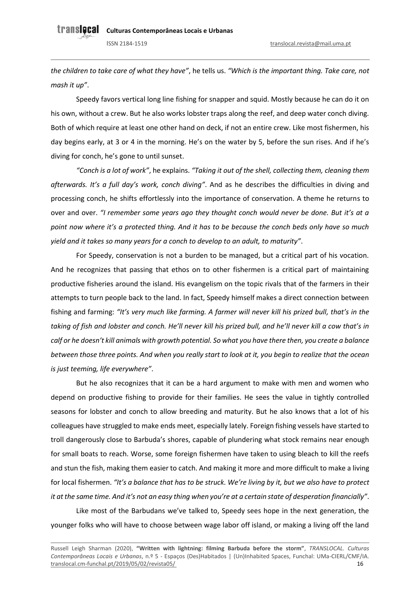*the children to take care of what they have"*, he tells us. *"Which is the important thing. Take care, not mash it up"*.

Speedy favors vertical long line fishing for snapper and squid. Mostly because he can do it on his own, without a crew. But he also works lobster traps along the reef, and deep water conch diving. Both of which require at least one other hand on deck, if not an entire crew. Like most fishermen, his day begins early, at 3 or 4 in the morning. He's on the water by 5, before the sun rises. And if he's diving for conch, he's gone to until sunset.

*"Conch is a lot of work"*, he explains. *"Taking it out of the shell, collecting them, cleaning them afterwards. It's a full day's work, conch diving"*. And as he describes the difficulties in diving and processing conch, he shifts effortlessly into the importance of conservation. A theme he returns to over and over. *"I remember some years ago they thought conch would never be done. But it's at a point now where it's a protected thing. And it has to be because the conch beds only have so much yield and it takes so many years for a conch to develop to an adult, to maturity"*.

For Speedy, conservation is not a burden to be managed, but a critical part of his vocation. And he recognizes that passing that ethos on to other fishermen is a critical part of maintaining productive fisheries around the island. His evangelism on the topic rivals that of the farmers in their attempts to turn people back to the land. In fact, Speedy himself makes a direct connection between fishing and farming: *"It's very much like farming. A farmer will never kill his prized bull, that's in the taking of fish and lobster and conch. He'll never kill his prized bull, and he'll never kill a cow that's in calf or he doesn't kill animals with growth potential. So what you have there then, you create a balance between those three points. And when you really start to look at it, you begin to realize that the ocean is just teeming, life everywhere"*.

But he also recognizes that it can be a hard argument to make with men and women who depend on productive fishing to provide for their families. He sees the value in tightly controlled seasons for lobster and conch to allow breeding and maturity. But he also knows that a lot of his colleagues have struggled to make ends meet, especially lately. Foreign fishing vessels have started to troll dangerously close to Barbuda's shores, capable of plundering what stock remains near enough for small boats to reach. Worse, some foreign fishermen have taken to using bleach to kill the reefs and stun the fish, making them easier to catch. And making it more and more difficult to make a living for local fishermen. *"It's a balance that has to be struck. We're living by it, but we also have to protect it at the same time. And it's not an easy thing when you're at a certain state of desperation financially"*.

Like most of the Barbudans we've talked to, Speedy sees hope in the next generation, the younger folks who will have to choose between wage labor off island, or making a living off the land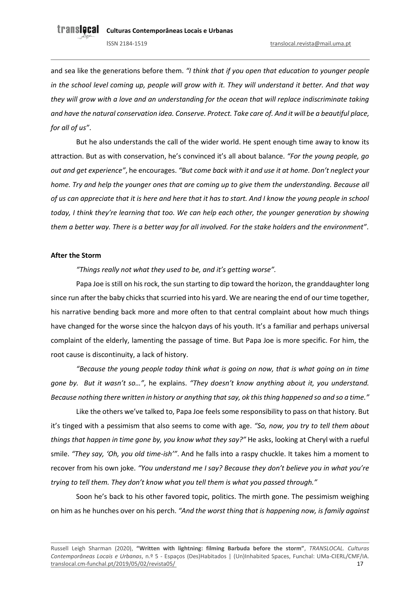and sea like the generations before them. *"I think that if you open that education to younger people in the school level coming up, people will grow with it. They will understand it better. And that way they will grow with a love and an understanding for the ocean that will replace indiscriminate taking and have the natural conservation idea. Conserve. Protect. Take care of. And it will be a beautiful place, for all of us"*.

But he also understands the call of the wider world. He spent enough time away to know its attraction. But as with conservation, he's convinced it's all about balance. *"For the young people, go out and get experience"*, he encourages. *"But come back with it and use it at home. Don't neglect your home. Try and help the younger ones that are coming up to give them the understanding. Because all of us can appreciate that it is here and here that it has to start. And I know the young people in school today, I think they're learning that too. We can help each other, the younger generation by showing them a better way. There is a better way for all involved. For the stake holders and the environment"*.

### **After the Storm**

*"Things really not what they used to be, and it's getting worse".* 

Papa Joe is still on his rock, the sun starting to dip toward the horizon, the granddaughter long since run after the baby chicks that scurried into his yard. We are nearing the end of our time together, his narrative bending back more and more often to that central complaint about how much things have changed for the worse since the halcyon days of his youth. It's a familiar and perhaps universal complaint of the elderly, lamenting the passage of time. But Papa Joe is more specific. For him, the root cause is discontinuity, a lack of history.

*"Because the young people today think what is going on now, that is what going on in time gone by. But it wasn't so…"*, he explains. *"They doesn't know anything about it, you understand. Because nothing there written in history or anything that say, ok this thing happened so and so a time."*

Like the others we've talked to, Papa Joe feels some responsibility to pass on that history. But it's tinged with a pessimism that also seems to come with age. *"So, now, you try to tell them about things that happen in time gone by, you know what they say?"* He asks, looking at Cheryl with a rueful smile. *"They say, 'Oh, you old time-ish'"*. And he falls into a raspy chuckle. It takes him a moment to recover from his own joke. *"You understand me I say? Because they don't believe you in what you're trying to tell them. They don't know what you tell them is what you passed through."*

Soon he's back to his other favored topic, politics. The mirth gone. The pessimism weighing on him as he hunches over on his perch. *"And the worst thing that is happening now, is family against*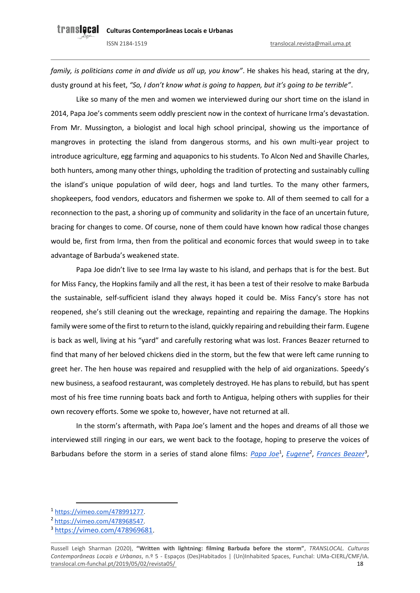*family, is politicians come in and divide us all up, you know"*. He shakes his head, staring at the dry, dusty ground at his feet, *"So, I don't know what is going to happen, but it's going to be terrible"*.

Like so many of the men and women we interviewed during our short time on the island in 2014, Papa Joe's comments seem oddly prescient now in the context of hurricane Irma's devastation. From Mr. Mussington, a biologist and local high school principal, showing us the importance of mangroves in protecting the island from dangerous storms, and his own multi-year project to introduce agriculture, egg farming and aquaponics to his students. To Alcon Ned and Shaville Charles, both hunters, among many other things, upholding the tradition of protecting and sustainably culling the island's unique population of wild deer, hogs and land turtles. To the many other farmers, shopkeepers, food vendors, educators and fishermen we spoke to. All of them seemed to call for a reconnection to the past, a shoring up of community and solidarity in the face of an uncertain future, bracing for changes to come. Of course, none of them could have known how radical those changes would be, first from Irma, then from the political and economic forces that would sweep in to take advantage of Barbuda's weakened state.

Papa Joe didn't live to see Irma lay waste to his island, and perhaps that is for the best. But for Miss Fancy, the Hopkins family and all the rest, it has been a test of their resolve to make Barbuda the sustainable, self-sufficient island they always hoped it could be. Miss Fancy's store has not reopened, she's still cleaning out the wreckage, repainting and repairing the damage. The Hopkins family were some of the first to return to the island, quickly repairing and rebuilding their farm. Eugene is back as well, living at his "yard" and carefully restoring what was lost. Frances Beazer returned to find that many of her beloved chickens died in the storm, but the few that were left came running to greet her. The hen house was repaired and resupplied with the help of aid organizations. Speedy's new business, a seafood restaurant, was completely destroyed. He has plans to rebuild, but has spent most of his free time running boats back and forth to Antigua, helping others with supplies for their own recovery efforts. Some we spoke to, however, have not returned at all.

In the storm's aftermath, with Papa Joe's lament and the hopes and dreams of all those we interviewed still ringing in our ears, we went back to the footage, hoping to preserve the voices of Barbudans before the storm in a series of stand alone films: *[Papa Joe](https://vimeo.com/478991277)<sup>1</sup>*, *[Eugene](https://vimeo.com/478968547)<sup>2</sup>*, *[Frances Beazer](https://vimeo.com/478969681)<sup>3</sup>*,

<sup>1</sup> <https://vimeo.com/478991277>.

<sup>2</sup> <https://vimeo.com/478968547>.

<sup>3</sup> <https://vimeo.com/478969681>.

Russell Leigh Sharman (2020), **"Written with lightning: filming Barbuda before the storm"**, *TRANSLOCAL. Culturas Contemporâneas Locais e Urbanas*, n.º 5 - Espaços (Des)Habitados | (Un)Inhabited Spaces, Funchal: UMa-CIERL/CMF/IA. translocal.cm-funchal.pt/2019/05/02/revista05/ 18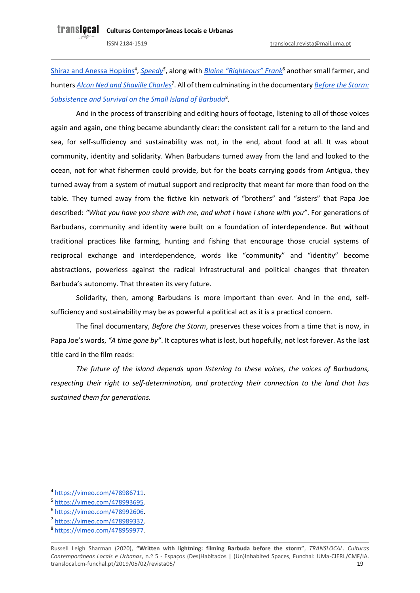[Shiraz and Anessa Hopkins](https://vimeo.com/478986711)<sup>4</sup>, [Speedy](https://vimeo.com/478993695)<sup>5</sup>, along with **[Blaine "Righteous" Frank](https://vimeo.com/478992606)**<sup>6</sup> another small farmer, and hunters *[Alcon Ned and Shaville Charles](https://vimeo.com/478989337)<sup>7</sup>*. All of them culminating in the documentary *Before the Storm: [Subsistence and Survival on the Small Island of Barbuda](https://vimeo.com/478959977)*<sup>8</sup> .

And in the process of transcribing and editing hours of footage, listening to all of those voices again and again, one thing became abundantly clear: the consistent call for a return to the land and sea, for self-sufficiency and sustainability was not, in the end, about food at all. It was about community, identity and solidarity. When Barbudans turned away from the land and looked to the ocean, not for what fishermen could provide, but for the boats carrying goods from Antigua, they turned away from a system of mutual support and reciprocity that meant far more than food on the table. They turned away from the fictive kin network of "brothers" and "sisters" that Papa Joe described: *"What you have you share with me, and what I have I share with you"*. For generations of Barbudans, community and identity were built on a foundation of interdependence. But without traditional practices like farming, hunting and fishing that encourage those crucial systems of reciprocal exchange and interdependence, words like "community" and "identity" become abstractions, powerless against the radical infrastructural and political changes that threaten Barbuda's autonomy. That threaten its very future.

Solidarity, then, among Barbudans is more important than ever. And in the end, selfsufficiency and sustainability may be as powerful a political act as it is a practical concern.

The final documentary, *Before the Storm*, preserves these voices from a time that is now, in Papa Joe's words, *"A time gone by"*. It captures what is lost, but hopefully, not lost forever. As the last title card in the film reads:

*The future of the island depends upon listening to these voices, the voices of Barbudans, respecting their right to self-determination, and protecting their connection to the land that has sustained them for generations.* 

<sup>4</sup> <https://vimeo.com/478986711>.

<sup>5</sup> <https://vimeo.com/478993695>.

<sup>6</sup> [https://vimeo.com/478992606.](https://vimeo.com/478992606)

<sup>7</sup> [https://vimeo.com/478989337.](https://vimeo.com/478989337)

<sup>8</sup> <https://vimeo.com/478959977>.